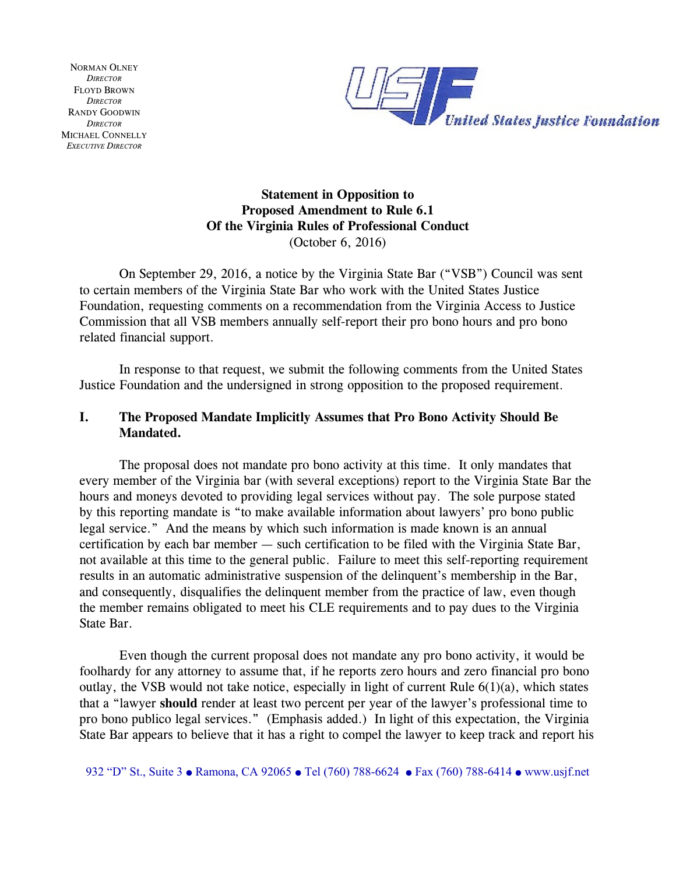NORMAN OLNEY *DIRECTOR* FLOYD BROWN *DIRECTOR* RANDY GOODWIN *DIRECTOR* MICHAEL CONNELLY *EXECUTIVE DIRECTOR*



# **Statement in Opposition to Proposed Amendment to Rule 6.1 Of the Virginia Rules of Professional Conduct** (October 6, 2016)

On September 29, 2016, a notice by the Virginia State Bar ("VSB") Council was sent to certain members of the Virginia State Bar who work with the United States Justice Foundation, requesting comments on a recommendation from the Virginia Access to Justice Commission that all VSB members annually self-report their pro bono hours and pro bono related financial support.

In response to that request, we submit the following comments from the United States Justice Foundation and the undersigned in strong opposition to the proposed requirement.

## **I. The Proposed Mandate Implicitly Assumes that Pro Bono Activity Should Be Mandated.**

The proposal does not mandate pro bono activity at this time. It only mandates that every member of the Virginia bar (with several exceptions) report to the Virginia State Bar the hours and moneys devoted to providing legal services without pay. The sole purpose stated by this reporting mandate is "to make available information about lawyers' pro bono public legal service." And the means by which such information is made known is an annual certification by each bar member — such certification to be filed with the Virginia State Bar, not available at this time to the general public. Failure to meet this self-reporting requirement results in an automatic administrative suspension of the delinquent's membership in the Bar, and consequently, disqualifies the delinquent member from the practice of law, even though the member remains obligated to meet his CLE requirements and to pay dues to the Virginia State Bar.

Even though the current proposal does not mandate any pro bono activity, it would be foolhardy for any attorney to assume that, if he reports zero hours and zero financial pro bono outlay, the VSB would not take notice, especially in light of current Rule 6(1)(a), which states that a "lawyer **should** render at least two percent per year of the lawyer's professional time to pro bono publico legal services." (Emphasis added.) In light of this expectation, the Virginia State Bar appears to believe that it has a right to compel the lawyer to keep track and report his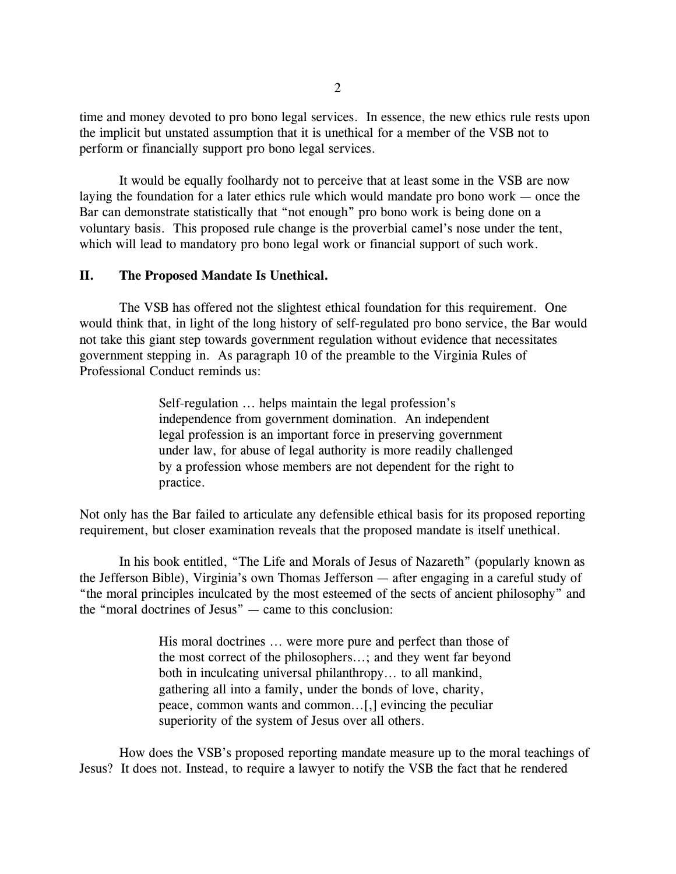time and money devoted to pro bono legal services. In essence, the new ethics rule rests upon the implicit but unstated assumption that it is unethical for a member of the VSB not to perform or financially support pro bono legal services.

It would be equally foolhardy not to perceive that at least some in the VSB are now laying the foundation for a later ethics rule which would mandate pro bono work — once the Bar can demonstrate statistically that "not enough" pro bono work is being done on a voluntary basis. This proposed rule change is the proverbial camel's nose under the tent, which will lead to mandatory pro bono legal work or financial support of such work.

### **II. The Proposed Mandate Is Unethical.**

The VSB has offered not the slightest ethical foundation for this requirement. One would think that, in light of the long history of self-regulated pro bono service, the Bar would not take this giant step towards government regulation without evidence that necessitates government stepping in. As paragraph 10 of the preamble to the Virginia Rules of Professional Conduct reminds us:

> Self-regulation ... helps maintain the legal profession's independence from government domination. An independent legal profession is an important force in preserving government under law, for abuse of legal authority is more readily challenged by a profession whose members are not dependent for the right to practice.

Not only has the Bar failed to articulate any defensible ethical basis for its proposed reporting requirement, but closer examination reveals that the proposed mandate is itself unethical.

In his book entitled, "The Life and Morals of Jesus of Nazareth" (popularly known as the Jefferson Bible), Virginia's own Thomas Jefferson — after engaging in a careful study of "the moral principles inculcated by the most esteemed of the sects of ancient philosophy" and the "moral doctrines of Jesus" — came to this conclusion:

> His moral doctrines ... were more pure and perfect than those of the most correct of the philosophers...; and they went far beyond both in inculcating universal philanthropy... to all mankind, gathering all into a family, under the bonds of love, charity, peace, common wants and common...[,] evincing the peculiar superiority of the system of Jesus over all others.

How does the VSB's proposed reporting mandate measure up to the moral teachings of Jesus? It does not. Instead, to require a lawyer to notify the VSB the fact that he rendered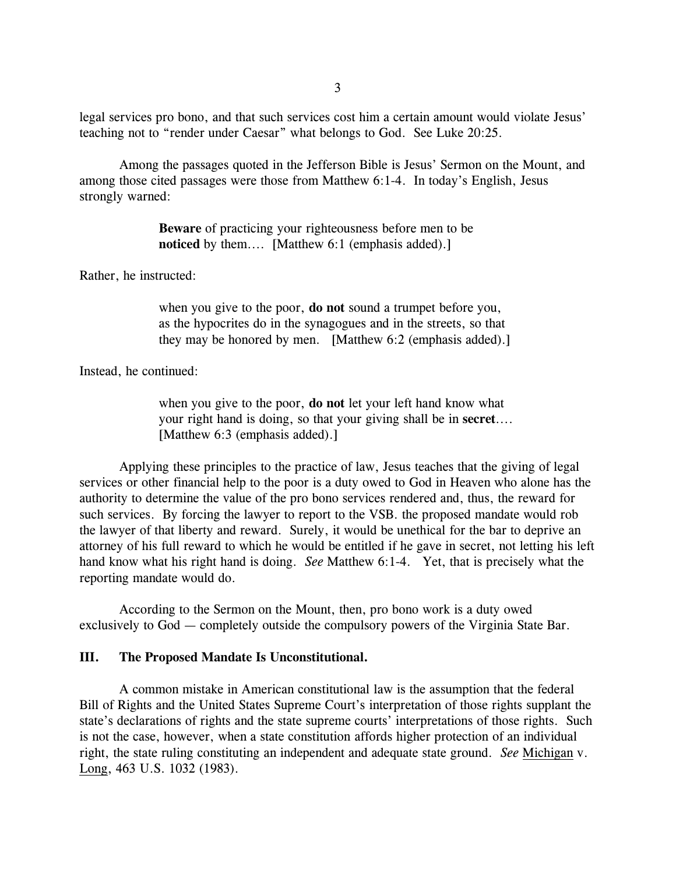legal services pro bono, and that such services cost him a certain amount would violate Jesus' teaching not to "render under Caesar" what belongs to God. See Luke 20:25.

Among the passages quoted in the Jefferson Bible is Jesus' Sermon on the Mount, and among those cited passages were those from Matthew 6:1-4. In today's English, Jesus strongly warned:

> **Beware** of practicing your righteousness before men to be **noticed** by them.... [Matthew 6:1 (emphasis added).]

Rather, he instructed:

when you give to the poor, **do not** sound a trumpet before you, as the hypocrites do in the synagogues and in the streets, so that they may be honored by men. [Matthew 6:2 (emphasis added).]

Instead, he continued:

when you give to the poor, **do not** let your left hand know what your right hand is doing, so that your giving shall be in **secret**.... [Matthew 6:3 (emphasis added).]

Applying these principles to the practice of law, Jesus teaches that the giving of legal services or other financial help to the poor is a duty owed to God in Heaven who alone has the authority to determine the value of the pro bono services rendered and, thus, the reward for such services. By forcing the lawyer to report to the VSB. the proposed mandate would rob the lawyer of that liberty and reward. Surely, it would be unethical for the bar to deprive an attorney of his full reward to which he would be entitled if he gave in secret, not letting his left hand know what his right hand is doing. *See* Matthew 6:1-4. Yet, that is precisely what the reporting mandate would do.

According to the Sermon on the Mount, then, pro bono work is a duty owed exclusively to God — completely outside the compulsory powers of the Virginia State Bar.

#### **III. The Proposed Mandate Is Unconstitutional.**

A common mistake in American constitutional law is the assumption that the federal Bill of Rights and the United States Supreme Court's interpretation of those rights supplant the state's declarations of rights and the state supreme courts' interpretations of those rights. Such is not the case, however, when a state constitution affords higher protection of an individual right, the state ruling constituting an independent and adequate state ground. *See* Michigan v. Long, 463 U.S. 1032 (1983).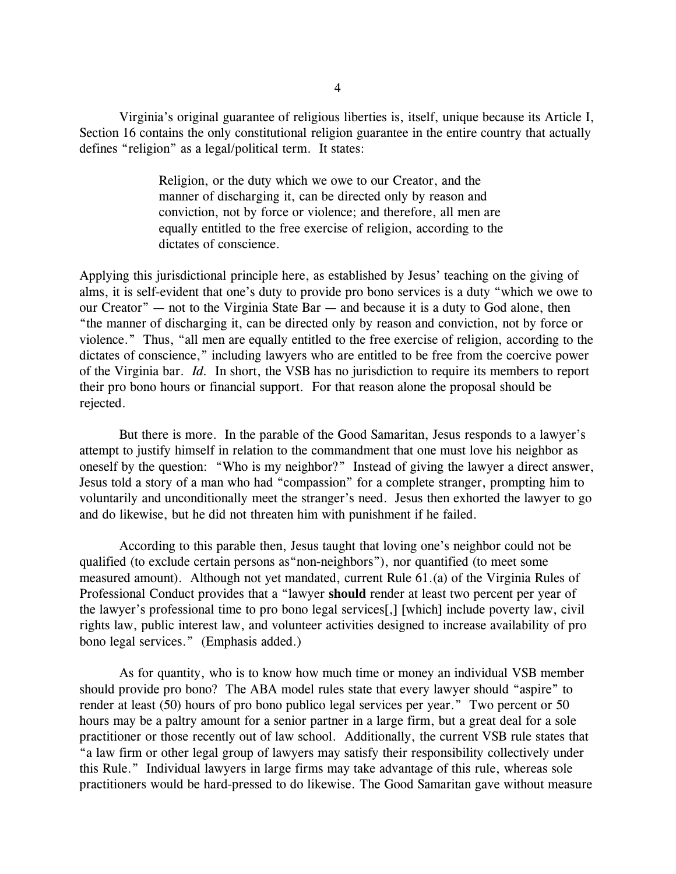Virginia's original guarantee of religious liberties is, itself, unique because its Article I, Section 16 contains the only constitutional religion guarantee in the entire country that actually defines "religion" as a legal/political term. It states:

> Religion, or the duty which we owe to our Creator, and the manner of discharging it, can be directed only by reason and conviction, not by force or violence; and therefore, all men are equally entitled to the free exercise of religion, according to the dictates of conscience.

Applying this jurisdictional principle here, as established by Jesus' teaching on the giving of alms, it is self-evident that one's duty to provide pro bono services is a duty "which we owe to our Creator" — not to the Virginia State Bar — and because it is a duty to God alone, then "the manner of discharging it, can be directed only by reason and conviction, not by force or violence." Thus, "all men are equally entitled to the free exercise of religion, according to the dictates of conscience," including lawyers who are entitled to be free from the coercive power of the Virginia bar. *Id.* In short, the VSB has no jurisdiction to require its members to report their pro bono hours or financial support. For that reason alone the proposal should be rejected.

But there is more. In the parable of the Good Samaritan, Jesus responds to a lawyer's attempt to justify himself in relation to the commandment that one must love his neighbor as oneself by the question: "Who is my neighbor?" Instead of giving the lawyer a direct answer, Jesus told a story of a man who had "compassion" for a complete stranger, prompting him to voluntarily and unconditionally meet the stranger's need. Jesus then exhorted the lawyer to go and do likewise, but he did not threaten him with punishment if he failed.

According to this parable then, Jesus taught that loving one's neighbor could not be qualified (to exclude certain persons as"non-neighbors"), nor quantified (to meet some measured amount). Although not yet mandated, current Rule 61.(a) of the Virginia Rules of Professional Conduct provides that a "lawyer **should** render at least two percent per year of the lawyer's professional time to pro bono legal services[,] [which] include poverty law, civil rights law, public interest law, and volunteer activities designed to increase availability of pro bono legal services." (Emphasis added.)

As for quantity, who is to know how much time or money an individual VSB member should provide pro bono? The ABA model rules state that every lawyer should "aspire" to render at least (50) hours of pro bono publico legal services per year." Two percent or 50 hours may be a paltry amount for a senior partner in a large firm, but a great deal for a sole practitioner or those recently out of law school. Additionally, the current VSB rule states that "a law firm or other legal group of lawyers may satisfy their responsibility collectively under this Rule." Individual lawyers in large firms may take advantage of this rule, whereas sole practitioners would be hard-pressed to do likewise. The Good Samaritan gave without measure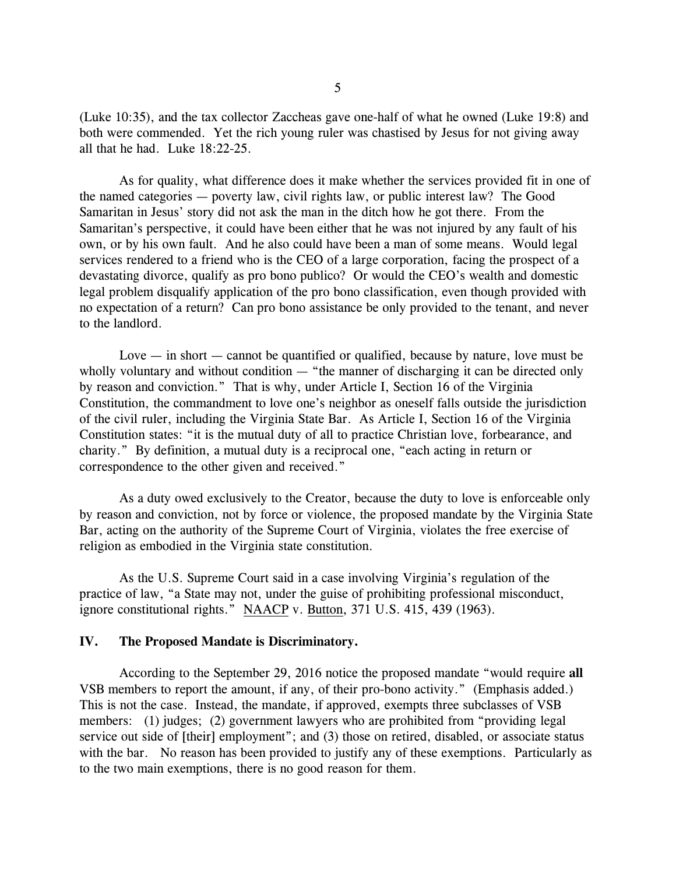(Luke 10:35), and the tax collector Zaccheas gave one-half of what he owned (Luke 19:8) and both were commended. Yet the rich young ruler was chastised by Jesus for not giving away all that he had. Luke 18:22-25.

As for quality, what difference does it make whether the services provided fit in one of the named categories — poverty law, civil rights law, or public interest law? The Good Samaritan in Jesus' story did not ask the man in the ditch how he got there. From the Samaritan's perspective, it could have been either that he was not injured by any fault of his own, or by his own fault. And he also could have been a man of some means. Would legal services rendered to a friend who is the CEO of a large corporation, facing the prospect of a devastating divorce, qualify as pro bono publico? Or would the CEO's wealth and domestic legal problem disqualify application of the pro bono classification, even though provided with no expectation of a return? Can pro bono assistance be only provided to the tenant, and never to the landlord.

Love  $-$  in short  $-$  cannot be quantified or qualified, because by nature, love must be wholly voluntary and without condition — "the manner of discharging it can be directed only by reason and conviction." That is why, under Article I, Section 16 of the Virginia Constitution, the commandment to love one's neighbor as oneself falls outside the jurisdiction of the civil ruler, including the Virginia State Bar. As Article I, Section 16 of the Virginia Constitution states: "it is the mutual duty of all to practice Christian love, forbearance, and charity." By definition, a mutual duty is a reciprocal one, "each acting in return or correspondence to the other given and received."

As a duty owed exclusively to the Creator, because the duty to love is enforceable only by reason and conviction, not by force or violence, the proposed mandate by the Virginia State Bar, acting on the authority of the Supreme Court of Virginia, violates the free exercise of religion as embodied in the Virginia state constitution.

As the U.S. Supreme Court said in a case involving Virginia's regulation of the practice of law, "a State may not, under the guise of prohibiting professional misconduct, ignore constitutional rights." NAACP v. Button, 371 U.S. 415, 439 (1963).

#### **IV. The Proposed Mandate is Discriminatory.**

According to the September 29, 2016 notice the proposed mandate "would require **all** VSB members to report the amount, if any, of their pro-bono activity." (Emphasis added.) This is not the case. Instead, the mandate, if approved, exempts three subclasses of VSB members: (1) judges; (2) government lawyers who are prohibited from "providing legal service out side of [their] employment"; and (3) those on retired, disabled, or associate status with the bar. No reason has been provided to justify any of these exemptions. Particularly as to the two main exemptions, there is no good reason for them.